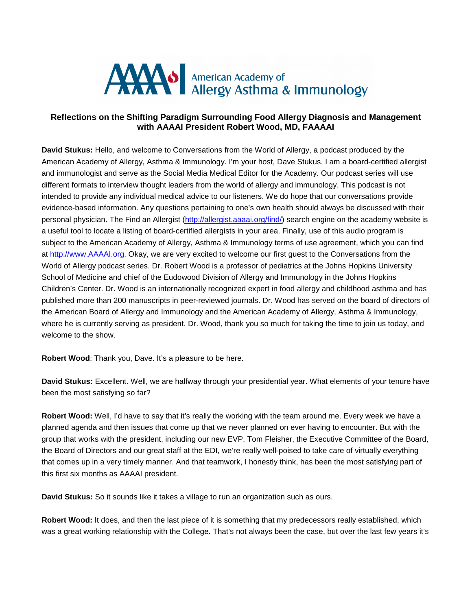

## **Reflections on the Shifting Paradigm Surrounding Food Allergy Diagnosis and Management with AAAAI President Robert Wood, MD, FAAAAI**

**David Stukus:** Hello, and welcome to Conversations from the World of Allergy, a podcast produced by the American Academy of Allergy, Asthma & Immunology. I'm your host, Dave Stukus. I am a board-certified allergist and immunologist and serve as the Social Media Medical Editor for the Academy. Our podcast series will use different formats to interview thought leaders from the world of allergy and immunology. This podcast is not intended to provide any individual medical advice to our listeners. We do hope that our conversations provide evidence-based information. Any questions pertaining to one's own health should always be discussed with their personal physician. The Find an Allergist (http://allergist.aaaai.org/find/) search engine on the academy website is a useful tool to locate a listing of board-certified allergists in your area. Finally, use of this audio program is subject to the American Academy of Allergy, Asthma & Immunology terms of use agreement, which you can find at http://www.AAAAI.org. Okay, we are very excited to welcome our first guest to the Conversations from the World of Allergy podcast series. Dr. Robert Wood is a professor of pediatrics at the Johns Hopkins University School of Medicine and chief of the Eudowood Division of Allergy and Immunology in the Johns Hopkins Children's Center. Dr. Wood is an internationally recognized expert in food allergy and childhood asthma and has published more than 200 manuscripts in peer-reviewed journals. Dr. Wood has served on the board of directors of the American Board of Allergy and Immunology and the American Academy of Allergy, Asthma & Immunology, where he is currently serving as president. Dr. Wood, thank you so much for taking the time to join us today, and welcome to the show.

**Robert Wood**: Thank you, Dave. It's a pleasure to be here.

**David Stukus:** Excellent. Well, we are halfway through your presidential year. What elements of your tenure have been the most satisfying so far?

**Robert Wood:** Well, I'd have to say that it's really the working with the team around me. Every week we have a planned agenda and then issues that come up that we never planned on ever having to encounter. But with the group that works with the president, including our new EVP, Tom Fleisher, the Executive Committee of the Board, the Board of Directors and our great staff at the EDI, we're really well-poised to take care of virtually everything that comes up in a very timely manner. And that teamwork, I honestly think, has been the most satisfying part of this first six months as AAAAI president.

**David Stukus:** So it sounds like it takes a village to run an organization such as ours.

**Robert Wood:** It does, and then the last piece of it is something that my predecessors really established, which was a great working relationship with the College. That's not always been the case, but over the last few years it's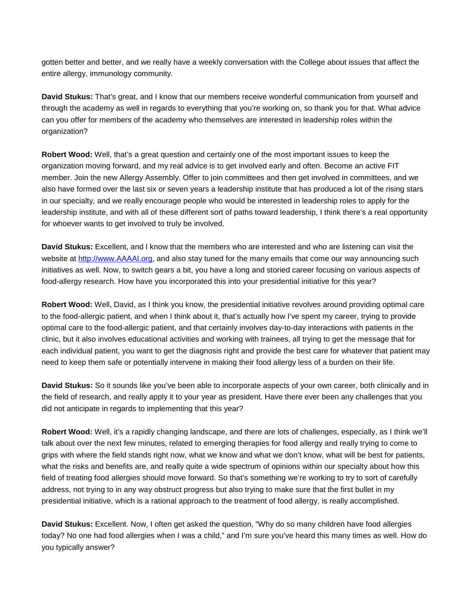gotten better and better, and we really have a weekly conversation with the College about issues that affect the entire allergy, immunology community.

**David Stukus:** That's great, and I know that our members receive wonderful communication from yourself and through the academy as well in regards to everything that you're working on, so thank you for that. What advice can you offer for members of the academy who themselves are interested in leadership roles within the organization?

**Robert Wood:** Well, that's a great question and certainly one of the most important issues to keep the organization moving forward, and my real advice is to get involved early and often. Become an active FIT member. Join the new Allergy Assembly. Offer to join committees and then get involved in committees, and we also have formed over the last six or seven years a leadership institute that has produced a lot of the rising stars in our specialty, and we really encourage people who would be interested in leadership roles to apply for the leadership institute, and with all of these different sort of paths toward leadership, I think there's a real opportunity for whoever wants to get involved to truly be involved.

**David Stukus:** Excellent, and I know that the members who are interested and who are listening can visit the website at http://www.AAAAI.org, and also stay tuned for the many emails that come our way announcing such initiatives as well. Now, to switch gears a bit, you have a long and storied career focusing on various aspects of food-allergy research. How have you incorporated this into your presidential initiative for this year?

**Robert Wood:** Well, David, as I think you know, the presidential initiative revolves around providing optimal care to the food-allergic patient, and when I think about it, that's actually how I've spent my career, trying to provide optimal care to the food-allergic patient, and that certainly involves day-to-day interactions with patients in the clinic, but it also involves educational activities and working with trainees, all trying to get the message that for each individual patient, you want to get the diagnosis right and provide the best care for whatever that patient may need to keep them safe or potentially intervene in making their food allergy less of a burden on their life.

**David Stukus:** So it sounds like you've been able to incorporate aspects of your own career, both clinically and in the field of research, and really apply it to your year as president. Have there ever been any challenges that you did not anticipate in regards to implementing that this year?

**Robert Wood:** Well, it's a rapidly changing landscape, and there are lots of challenges, especially, as I think we'll talk about over the next few minutes, related to emerging therapies for food allergy and really trying to come to grips with where the field stands right now, what we know and what we don't know, what will be best for patients, what the risks and benefits are, and really quite a wide spectrum of opinions within our specialty about how this field of treating food allergies should move forward. So that's something we're working to try to sort of carefully address, not trying to in any way obstruct progress but also trying to make sure that the first bullet in my presidential initiative, which is a rational approach to the treatment of food allergy, is really accomplished.

**David Stukus:** Excellent. Now, I often get asked the question, "Why do so many children have food allergies today? No one had food allergies when I was a child," and I'm sure you've heard this many times as well. How do you typically answer?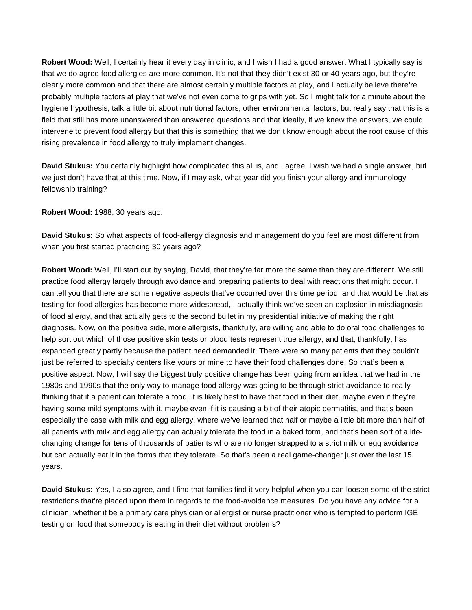**Robert Wood:** Well, I certainly hear it every day in clinic, and I wish I had a good answer. What I typically say is that we do agree food allergies are more common. It's not that they didn't exist 30 or 40 years ago, but they're clearly more common and that there are almost certainly multiple factors at play, and I actually believe there're probably multiple factors at play that we've not even come to grips with yet. So I might talk for a minute about the hygiene hypothesis, talk a little bit about nutritional factors, other environmental factors, but really say that this is a field that still has more unanswered than answered questions and that ideally, if we knew the answers, we could intervene to prevent food allergy but that this is something that we don't know enough about the root cause of this rising prevalence in food allergy to truly implement changes.

**David Stukus:** You certainly highlight how complicated this all is, and I agree. I wish we had a single answer, but we just don't have that at this time. Now, if I may ask, what year did you finish your allergy and immunology fellowship training?

**Robert Wood:** 1988, 30 years ago.

**David Stukus:** So what aspects of food-allergy diagnosis and management do you feel are most different from when you first started practicing 30 years ago?

**Robert Wood:** Well, I'll start out by saying, David, that they're far more the same than they are different. We still practice food allergy largely through avoidance and preparing patients to deal with reactions that might occur. I can tell you that there are some negative aspects that've occurred over this time period, and that would be that as testing for food allergies has become more widespread, I actually think we've seen an explosion in misdiagnosis of food allergy, and that actually gets to the second bullet in my presidential initiative of making the right diagnosis. Now, on the positive side, more allergists, thankfully, are willing and able to do oral food challenges to help sort out which of those positive skin tests or blood tests represent true allergy, and that, thankfully, has expanded greatly partly because the patient need demanded it. There were so many patients that they couldn't just be referred to specialty centers like yours or mine to have their food challenges done. So that's been a positive aspect. Now, I will say the biggest truly positive change has been going from an idea that we had in the 1980s and 1990s that the only way to manage food allergy was going to be through strict avoidance to really thinking that if a patient can tolerate a food, it is likely best to have that food in their diet, maybe even if they're having some mild symptoms with it, maybe even if it is causing a bit of their atopic dermatitis, and that's been especially the case with milk and egg allergy, where we've learned that half or maybe a little bit more than half of all patients with milk and egg allergy can actually tolerate the food in a baked form, and that's been sort of a lifechanging change for tens of thousands of patients who are no longer strapped to a strict milk or egg avoidance but can actually eat it in the forms that they tolerate. So that's been a real game-changer just over the last 15 years.

**David Stukus:** Yes, I also agree, and I find that families find it very helpful when you can loosen some of the strict restrictions that're placed upon them in regards to the food-avoidance measures. Do you have any advice for a clinician, whether it be a primary care physician or allergist or nurse practitioner who is tempted to perform IGE testing on food that somebody is eating in their diet without problems?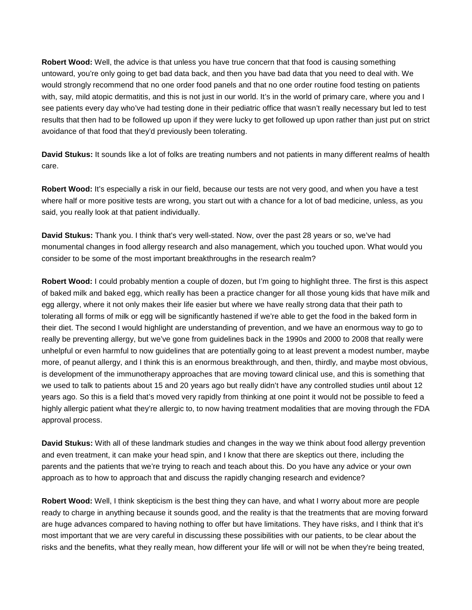**Robert Wood:** Well, the advice is that unless you have true concern that that food is causing something untoward, you're only going to get bad data back, and then you have bad data that you need to deal with. We would strongly recommend that no one order food panels and that no one order routine food testing on patients with, say, mild atopic dermatitis, and this is not just in our world. It's in the world of primary care, where you and I see patients every day who've had testing done in their pediatric office that wasn't really necessary but led to test results that then had to be followed up upon if they were lucky to get followed up upon rather than just put on strict avoidance of that food that they'd previously been tolerating.

**David Stukus:** It sounds like a lot of folks are treating numbers and not patients in many different realms of health care.

**Robert Wood:** It's especially a risk in our field, because our tests are not very good, and when you have a test where half or more positive tests are wrong, you start out with a chance for a lot of bad medicine, unless, as you said, you really look at that patient individually.

**David Stukus:** Thank you. I think that's very well-stated. Now, over the past 28 years or so, we've had monumental changes in food allergy research and also management, which you touched upon. What would you consider to be some of the most important breakthroughs in the research realm?

**Robert Wood:** I could probably mention a couple of dozen, but I'm going to highlight three. The first is this aspect of baked milk and baked egg, which really has been a practice changer for all those young kids that have milk and egg allergy, where it not only makes their life easier but where we have really strong data that their path to tolerating all forms of milk or egg will be significantly hastened if we're able to get the food in the baked form in their diet. The second I would highlight are understanding of prevention, and we have an enormous way to go to really be preventing allergy, but we've gone from guidelines back in the 1990s and 2000 to 2008 that really were unhelpful or even harmful to now guidelines that are potentially going to at least prevent a modest number, maybe more, of peanut allergy, and I think this is an enormous breakthrough, and then, thirdly, and maybe most obvious, is development of the immunotherapy approaches that are moving toward clinical use, and this is something that we used to talk to patients about 15 and 20 years ago but really didn't have any controlled studies until about 12 years ago. So this is a field that's moved very rapidly from thinking at one point it would not be possible to feed a highly allergic patient what they're allergic to, to now having treatment modalities that are moving through the FDA approval process.

**David Stukus:** With all of these landmark studies and changes in the way we think about food allergy prevention and even treatment, it can make your head spin, and I know that there are skeptics out there, including the parents and the patients that we're trying to reach and teach about this. Do you have any advice or your own approach as to how to approach that and discuss the rapidly changing research and evidence?

**Robert Wood:** Well, I think skepticism is the best thing they can have, and what I worry about more are people ready to charge in anything because it sounds good, and the reality is that the treatments that are moving forward are huge advances compared to having nothing to offer but have limitations. They have risks, and I think that it's most important that we are very careful in discussing these possibilities with our patients, to be clear about the risks and the benefits, what they really mean, how different your life will or will not be when they're being treated,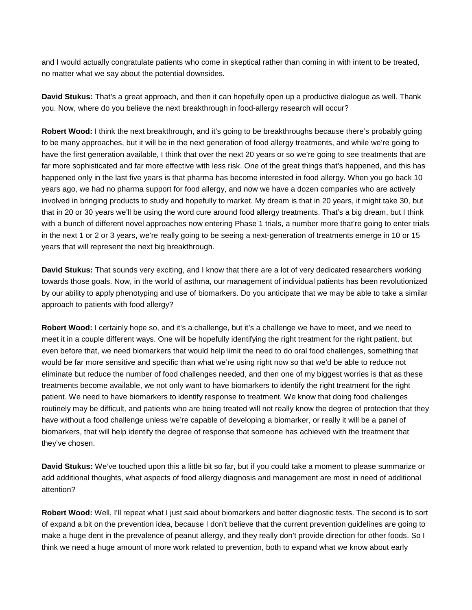and I would actually congratulate patients who come in skeptical rather than coming in with intent to be treated, no matter what we say about the potential downsides.

**David Stukus:** That's a great approach, and then it can hopefully open up a productive dialogue as well. Thank you. Now, where do you believe the next breakthrough in food-allergy research will occur?

**Robert Wood:** I think the next breakthrough, and it's going to be breakthroughs because there's probably going to be many approaches, but it will be in the next generation of food allergy treatments, and while we're going to have the first generation available, I think that over the next 20 years or so we're going to see treatments that are far more sophisticated and far more effective with less risk. One of the great things that's happened, and this has happened only in the last five years is that pharma has become interested in food allergy. When you go back 10 years ago, we had no pharma support for food allergy, and now we have a dozen companies who are actively involved in bringing products to study and hopefully to market. My dream is that in 20 years, it might take 30, but that in 20 or 30 years we'll be using the word cure around food allergy treatments. That's a big dream, but I think with a bunch of different novel approaches now entering Phase 1 trials, a number more that're going to enter trials in the next 1 or 2 or 3 years, we're really going to be seeing a next-generation of treatments emerge in 10 or 15 years that will represent the next big breakthrough.

**David Stukus:** That sounds very exciting, and I know that there are a lot of very dedicated researchers working towards those goals. Now, in the world of asthma, our management of individual patients has been revolutionized by our ability to apply phenotyping and use of biomarkers. Do you anticipate that we may be able to take a similar approach to patients with food allergy?

**Robert Wood:** I certainly hope so, and it's a challenge, but it's a challenge we have to meet, and we need to meet it in a couple different ways. One will be hopefully identifying the right treatment for the right patient, but even before that, we need biomarkers that would help limit the need to do oral food challenges, something that would be far more sensitive and specific than what we're using right now so that we'd be able to reduce not eliminate but reduce the number of food challenges needed, and then one of my biggest worries is that as these treatments become available, we not only want to have biomarkers to identify the right treatment for the right patient. We need to have biomarkers to identify response to treatment. We know that doing food challenges routinely may be difficult, and patients who are being treated will not really know the degree of protection that they have without a food challenge unless we're capable of developing a biomarker, or really it will be a panel of biomarkers, that will help identify the degree of response that someone has achieved with the treatment that they've chosen.

**David Stukus:** We've touched upon this a little bit so far, but if you could take a moment to please summarize or add additional thoughts, what aspects of food allergy diagnosis and management are most in need of additional attention?

**Robert Wood:** Well, I'll repeat what I just said about biomarkers and better diagnostic tests. The second is to sort of expand a bit on the prevention idea, because I don't believe that the current prevention guidelines are going to make a huge dent in the prevalence of peanut allergy, and they really don't provide direction for other foods. So I think we need a huge amount of more work related to prevention, both to expand what we know about early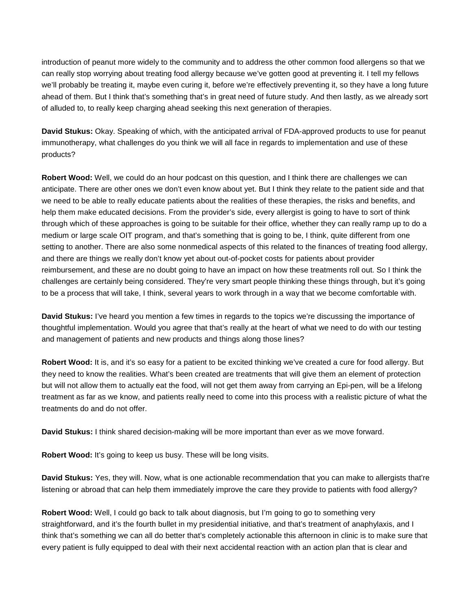introduction of peanut more widely to the community and to address the other common food allergens so that we can really stop worrying about treating food allergy because we've gotten good at preventing it. I tell my fellows we'll probably be treating it, maybe even curing it, before we're effectively preventing it, so they have a long future ahead of them. But I think that's something that's in great need of future study. And then lastly, as we already sort of alluded to, to really keep charging ahead seeking this next generation of therapies.

**David Stukus:** Okay. Speaking of which, with the anticipated arrival of FDA-approved products to use for peanut immunotherapy, what challenges do you think we will all face in regards to implementation and use of these products?

**Robert Wood:** Well, we could do an hour podcast on this question, and I think there are challenges we can anticipate. There are other ones we don't even know about yet. But I think they relate to the patient side and that we need to be able to really educate patients about the realities of these therapies, the risks and benefits, and help them make educated decisions. From the provider's side, every allergist is going to have to sort of think through which of these approaches is going to be suitable for their office, whether they can really ramp up to do a medium or large scale OIT program, and that's something that is going to be, I think, quite different from one setting to another. There are also some nonmedical aspects of this related to the finances of treating food allergy, and there are things we really don't know yet about out-of-pocket costs for patients about provider reimbursement, and these are no doubt going to have an impact on how these treatments roll out. So I think the challenges are certainly being considered. They're very smart people thinking these things through, but it's going to be a process that will take, I think, several years to work through in a way that we become comfortable with.

**David Stukus:** I've heard you mention a few times in regards to the topics we're discussing the importance of thoughtful implementation. Would you agree that that's really at the heart of what we need to do with our testing and management of patients and new products and things along those lines?

**Robert Wood:** It is, and it's so easy for a patient to be excited thinking we've created a cure for food allergy. But they need to know the realities. What's been created are treatments that will give them an element of protection but will not allow them to actually eat the food, will not get them away from carrying an Epi-pen, will be a lifelong treatment as far as we know, and patients really need to come into this process with a realistic picture of what the treatments do and do not offer.

**David Stukus:** I think shared decision-making will be more important than ever as we move forward.

**Robert Wood:** It's going to keep us busy. These will be long visits.

**David Stukus:** Yes, they will. Now, what is one actionable recommendation that you can make to allergists that're listening or abroad that can help them immediately improve the care they provide to patients with food allergy?

**Robert Wood:** Well, I could go back to talk about diagnosis, but I'm going to go to something very straightforward, and it's the fourth bullet in my presidential initiative, and that's treatment of anaphylaxis, and I think that's something we can all do better that's completely actionable this afternoon in clinic is to make sure that every patient is fully equipped to deal with their next accidental reaction with an action plan that is clear and